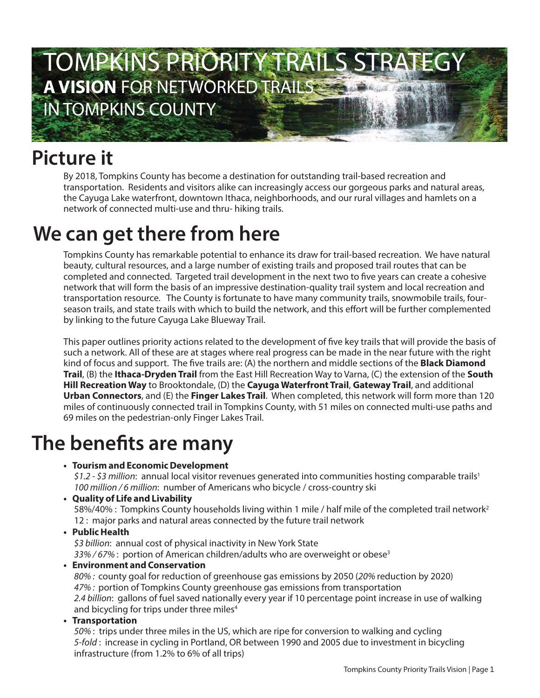

### **Picture it**

By 2018, Tompkins County has become a destination for outstanding trail-based recreation and transportation. Residents and visitors alike can increasingly access our gorgeous parks and natural areas, the Cayuga Lake waterfront, downtown Ithaca, neighborhoods, and our rural villages and hamlets on a network of connected multi-use and thru- hiking trails.

### **We can get there from here**

Tompkins County has remarkable potential to enhance its draw for trail-based recreation. We have natural beauty, cultural resources, and a large number of existing trails and proposed trail routes that can be completed and connected. Targeted trail development in the next two to five years can create a cohesive network that will form the basis of an impressive destination-quality trail system and local recreation and transportation resource. The County is fortunate to have many community trails, snowmobile trails, fourseason trails, and state trails with which to build the network, and this effort will be further complemented by linking to the future Cayuga Lake Blueway Trail.

This paper outlines priority actions related to the development of five key trails that will provide the basis of such a network. All of these are at stages where real progress can be made in the near future with the right kind of focus and support. The five trails are: (A) the northern and middle sections of the **Black Diamond Trail**, (B) the **Ithaca-Dryden Trail** from the East Hill Recreation Way to Varna, (C) the extension of the **South Hill Recreation Way** to Brooktondale, (D) the **Cayuga Waterfront Trail**, **Gateway Trail**, and additional **Urban Connectors**, and (E) the **Finger Lakes Trail**. When completed, this network will form more than 120 miles of continuously connected trail in Tompkins County, with 51 miles on connected multi-use paths and 69 miles on the pedestrian-only Finger Lakes Trail.

#### **The benefits are many**

**• Tourism and Economic Development**

 $$1.2 - $3$  million: annual local visitor revenues generated into communities hosting comparable trails<sup>1</sup> 100 million / 6 million: number of Americans who bicycle / cross-country ski

**• Quality of Life and Livability**

58%/40% : Tompkins County households living within 1 mile / half mile of the completed trail network<sup>2</sup> 12 : major parks and natural areas connected by the future trail network

#### **• Public Health**

\$3 billion: annual cost of physical inactivity in New York State  $33\%/67\%$ : portion of American children/adults who are overweight or obese<sup>3</sup>

**• Environment and Conservation**

80% : county goal for reduction of greenhouse gas emissions by 2050 (20% reduction by 2020) 47% : portion of Tompkins County greenhouse gas emissions from transportation 2.4 billion: gallons of fuel saved nationally every year if 10 percentage point increase in use of walking and bicycling for trips under three miles<sup>4</sup>

**• Transportation**

50% : trips under three miles in the US, which are ripe for conversion to walking and cycling 5-fold : increase in cycling in Portland, OR between 1990 and 2005 due to investment in bicycling infrastructure (from 1.2% to 6% of all trips)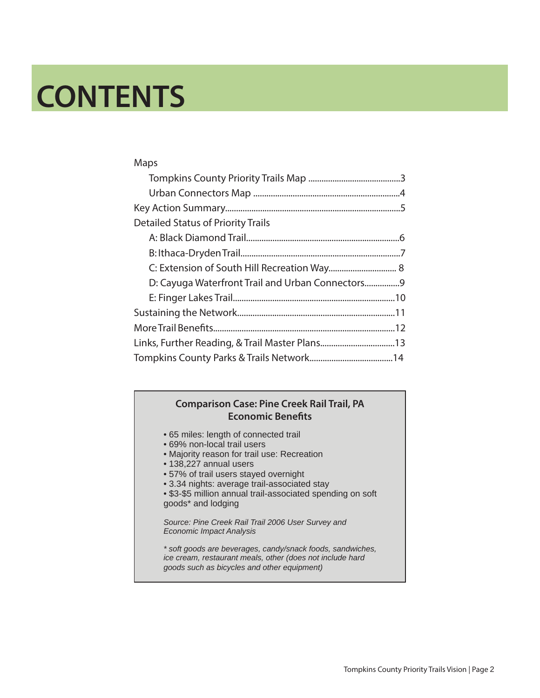### **CONTENTS**

| Maps                                            |
|-------------------------------------------------|
|                                                 |
|                                                 |
|                                                 |
| <b>Detailed Status of Priority Trails</b>       |
|                                                 |
|                                                 |
| C: Extension of South Hill Recreation Way 8     |
| D: Cayuga Waterfront Trail and Urban Connectors |
|                                                 |
|                                                 |
|                                                 |
|                                                 |
|                                                 |

#### **Comparison Case: Pine Creek Rail Trail, PA Economic Benefits**

- 65 miles: length of connected trail
- 69% non-local trail users
- Majority reason for trail use: Recreation
- 138,227 annual users
- 57% of trail users stayed overnight
- 3.34 nights: average trail-associated stay
- \$3-\$5 million annual trail-associated spending on soft goods\* and lodging

*Source: Pine Creek Rail Trail 2006 User Survey and Economic Impact Analysis*

*\* soft goods are beverages, candy/snack foods, sandwiches, ice cream, restaurant meals, other (does not include hard goods such as bicycles and other equipment)*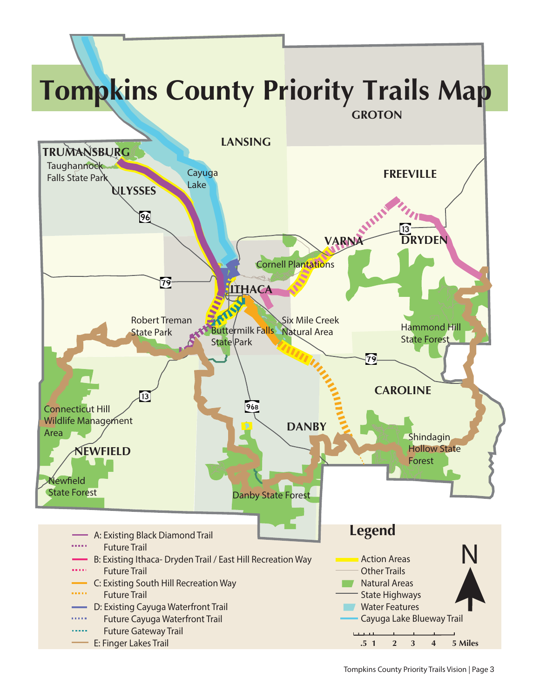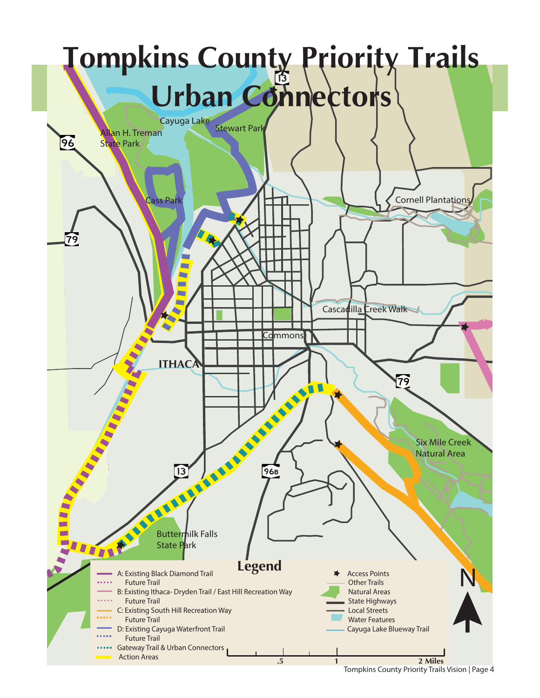

Tompkins County Priority Trails Vision | Page <sup>4</sup>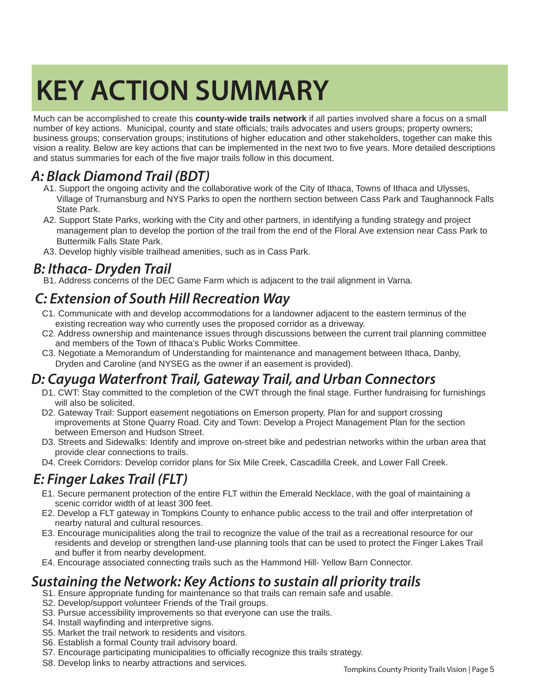### **KEY ACTION SUMMARY**

Much can be accomplished to create this **county-wide trails network** if all parties involved share a focus on a small number of key actions. Municipal, county and state officials; trails advocates and users groups; property owners; business groups; conservation groups; institutions of higher education and other stakeholders, together can make this vision a reality. Below are key actions that can be implemented in the next two to five years. More detailed descriptions and status summaries for each of the five major trails follow in this document.

#### *A: Black Diamond Trail (BDT)*

- A1. Support the ongoing activity and the collaborative work of the City of Ithaca, Towns of Ithaca and Ulysses, Village of Trumansburg and NYS Parks to open the northern section between Cass Park and Taughannock Falls State Park.
- A2. Support State Parks, working with the City and other partners, in identifying a funding strategy and project management plan to develop the portion of the trail from the end of the Floral Ave extension near Cass Park to Buttermilk Falls State Park.
- A3. Develop highly visible trailhead amenities, such as in Cass Park.

#### *B: Ithaca- Dryden Trail*

B1. Address concerns of the DEC Game Farm which is adjacent to the trail alignment in Varna.

#### *C: Extension of South Hill Recreation Way*

- C1. Communicate with and develop accommodations for a landowner adjacent to the eastern terminus of the existing recreation way who currently uses the proposed corridor as a driveway.
- C2. Address ownership and maintenance issues through discussions between the current trail planning committee and members of the Town of Ithaca's Public Works Committee.
- C3. Negotiate a Memorandum of Understanding for maintenance and management between Ithaca, Danby, Dryden and Caroline (and NYSEG as the owner if an easement is provided).

#### *D: Cayuga Waterfront Trail, Gateway Trail, and Urban Connectors*

- D1. CWT: Stay committed to the completion of the CWT through the final stage. Further fundraising for furnishings will also be solicited.
- D2. Gateway Trail: Support easement negotiations on Emerson property. Plan for and support crossing improvements at Stone Quarry Road. City and Town: Develop a Project Management Plan for the section between Emerson and Hudson Street.
- D3. Streets and Sidewalks: Identify and improve on-street bike and pedestrian networks within the urban area that provide clear connections to trails.
- D4. Creek Corridors: Develop corridor plans for Six Mile Creek, Cascadilla Creek, and Lower Fall Creek.

#### *E: Finger Lakes Trail (FLT)*

- E1. Secure permanent protection of the entire FLT within the Emerald Necklace, with the goal of maintaining a scenic corridor width of at least 300 feet.
- E2. Develop a FLT gateway in Tompkins County to enhance public access to the trail and offer interpretation of nearby natural and cultural resources.
- E3. Encourage municipalities along the trail to recognize the value of the trail as a recreational resource for our residents and develop or strengthen land-use planning tools that can be used to protect the Finger Lakes Trail and buffer it from nearby development.
- E4. Encourage associated connecting trails such as the Hammond Hill- Yellow Barn Connector.

#### *Sustaining the Network: Key Actions to sustain all priority trails*

- S1. Ensure appropriate funding for maintenance so that trails can remain safe and usable.
- S2. Develop/support volunteer Friends of the Trail groups.
- S3. Pursue accessibility improvements so that everyone can use the trails.
- S4. Install wayfinding and interpretive signs.
- S5. Market the trail network to residents and visitors.
- S6. Establish a formal County trail advisory board.
- S7. Encourage participating municipalities to officially recognize this trails strategy.
- S8. Develop links to nearby attractions and services.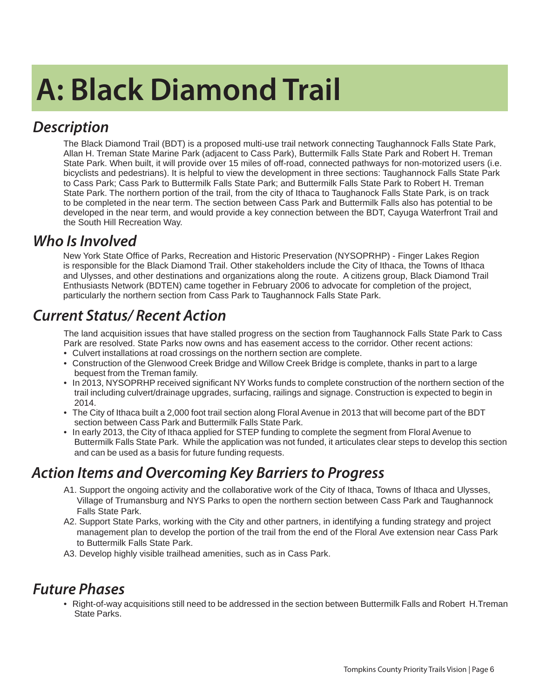## **A: Black Diamond Trail**

#### *Description*

The Black Diamond Trail (BDT) is a proposed multi-use trail network connecting Taughannock Falls State Park, Allan H. Treman State Marine Park (adjacent to Cass Park), Buttermilk Falls State Park and Robert H. Treman State Park. When built, it will provide over 15 miles of off-road, connected pathways for non-motorized users (i.e. bicyclists and pedestrians). It is helpful to view the development in three sections: Taughannock Falls State Park to Cass Park; Cass Park to Buttermilk Falls State Park; and Buttermilk Falls State Park to Robert H. Treman State Park. The northern portion of the trail, from the city of Ithaca to Taughanock Falls State Park, is on track to be completed in the near term. The section between Cass Park and Buttermilk Falls also has potential to be developed in the near term, and would provide a key connection between the BDT, Cayuga Waterfront Trail and the South Hill Recreation Way.

#### *Who Is Involved*

New York State Office of Parks, Recreation and Historic Preservation (NYSOPRHP) - Finger Lakes Region is responsible for the Black Diamond Trail. Other stakeholders include the City of Ithaca, the Towns of Ithaca and Ulysses, and other destinations and organizations along the route. A citizens group, Black Diamond Trail Enthusiasts Network (BDTEN) came together in February 2006 to advocate for completion of the project, particularly the northern section from Cass Park to Taughannock Falls State Park.

#### *Current Status/ Recent Action*

The land acquisition issues that have stalled progress on the section from Taughannock Falls State Park to Cass Park are resolved. State Parks now owns and has easement access to the corridor. Other recent actions:

- Culvert installations at road crossings on the northern section are complete.
- Construction of the Glenwood Creek Bridge and Willow Creek Bridge is complete, thanks in part to a large bequest from the Treman family.
- In 2013, NYSOPRHP received significant NY Works funds to complete construction of the northern section of the trail including culvert/drainage upgrades, surfacing, railings and signage. Construction is expected to begin in 2014.
- The City of Ithaca built a 2,000 foot trail section along Floral Avenue in 2013 that will become part of the BDT section between Cass Park and Buttermilk Falls State Park.
- In early 2013, the City of Ithaca applied for STEP funding to complete the segment from Floral Avenue to Buttermilk Falls State Park. While the application was not funded, it articulates clear steps to develop this section and can be used as a basis for future funding requests.

#### *Action Items and Overcoming Key Barriers to Progress*

- A1. Support the ongoing activity and the collaborative work of the City of Ithaca, Towns of Ithaca and Ulysses, Village of Trumansburg and NYS Parks to open the northern section between Cass Park and Taughannock Falls State Park.
- A2. Support State Parks, working with the City and other partners, in identifying a funding strategy and project management plan to develop the portion of the trail from the end of the Floral Ave extension near Cass Park to Buttermilk Falls State Park.
- A3. Develop highly visible trailhead amenities, such as in Cass Park.

#### *Future Phases*

• Right-of-way acquisitions still need to be addressed in the section between Buttermilk Falls and Robert H.Treman State Parks.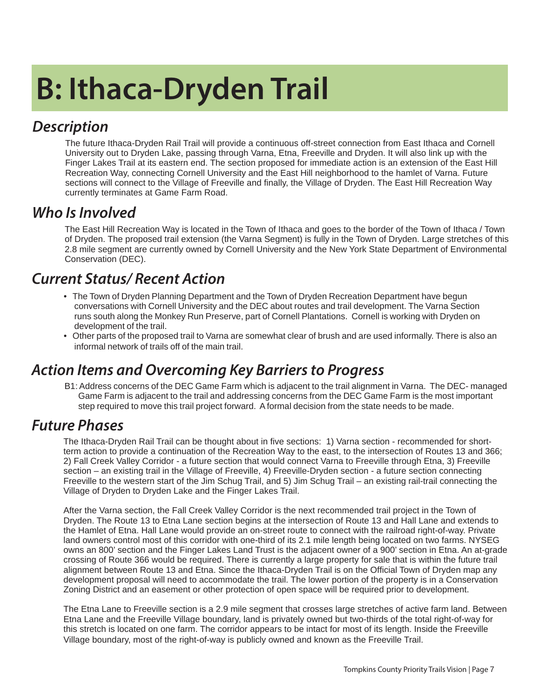## **B: Ithaca-Dryden Trail**

#### *Description*

The future Ithaca-Dryden Rail Trail will provide a continuous off-street connection from East Ithaca and Cornell University out to Dryden Lake, passing through Varna, Etna, Freeville and Dryden. It will also link up with the Finger Lakes Trail at its eastern end. The section proposed for immediate action is an extension of the East Hill Recreation Way, connecting Cornell University and the East Hill neighborhood to the hamlet of Varna. Future sections will connect to the Village of Freeville and finally, the Village of Dryden. The East Hill Recreation Way currently terminates at Game Farm Road.

#### *Who Is Involved*

The East Hill Recreation Way is located in the Town of Ithaca and goes to the border of the Town of Ithaca / Town of Dryden. The proposed trail extension (the Varna Segment) is fully in the Town of Dryden. Large stretches of this 2.8 mile segment are currently owned by Cornell University and the New York State Department of Environmental Conservation (DEC).

#### *Current Status/ Recent Action*

- The Town of Dryden Planning Department and the Town of Dryden Recreation Department have begun conversations with Cornell University and the DEC about routes and trail development. The Varna Section runs south along the Monkey Run Preserve, part of Cornell Plantations. Cornell is working with Dryden on development of the trail.
- Other parts of the proposed trail to Varna are somewhat clear of brush and are used informally. There is also an informal network of trails off of the main trail.

#### *Action Items and Overcoming Key Barriers to Progress*

B1: Address concerns of the DEC Game Farm which is adjacent to the trail alignment in Varna. The DEC- managed Game Farm is adjacent to the trail and addressing concerns from the DEC Game Farm is the most important step required to move this trail project forward. A formal decision from the state needs to be made.

#### *Future Phases*

The Ithaca-Dryden Rail Trail can be thought about in five sections: 1) Varna section - recommended for shortterm action to provide a continuation of the Recreation Way to the east, to the intersection of Routes 13 and 366; 2) Fall Creek Valley Corridor - a future section that would connect Varna to Freeville through Etna, 3) Freeville section – an existing trail in the Village of Freeville, 4) Freeville-Dryden section - a future section connecting Freeville to the western start of the Jim Schug Trail, and 5) Jim Schug Trail – an existing rail-trail connecting the Village of Dryden to Dryden Lake and the Finger Lakes Trail.

After the Varna section, the Fall Creek Valley Corridor is the next recommended trail project in the Town of Dryden. The Route 13 to Etna Lane section begins at the intersection of Route 13 and Hall Lane and extends to the Hamlet of Etna. Hall Lane would provide an on-street route to connect with the railroad right-of-way. Private land owners control most of this corridor with one-third of its 2.1 mile length being located on two farms. NYSEG owns an 800' section and the Finger Lakes Land Trust is the adjacent owner of a 900' section in Etna. An at-grade crossing of Route 366 would be required. There is currently a large property for sale that is within the future trail alignment between Route 13 and Etna. Since the Ithaca-Dryden Trail is on the Official Town of Dryden map any development proposal will need to accommodate the trail. The lower portion of the property is in a Conservation Zoning District and an easement or other protection of open space will be required prior to development.

The Etna Lane to Freeville section is a 2.9 mile segment that crosses large stretches of active farm land. Between Etna Lane and the Freeville Village boundary, land is privately owned but two-thirds of the total right-of-way for this stretch is located on one farm. The corridor appears to be intact for most of its length. Inside the Freeville Village boundary, most of the right-of-way is publicly owned and known as the Freeville Trail.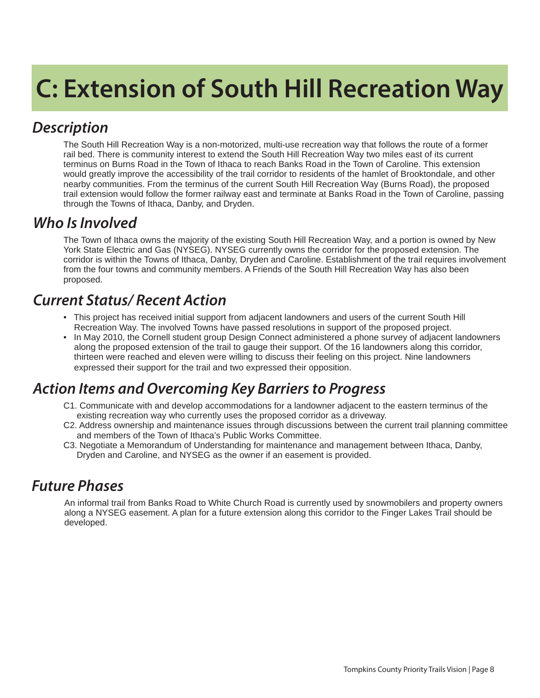### **C: Extension of South Hill Recreation Way**

#### *Description*

The South Hill Recreation Way is a non-motorized, multi-use recreation way that follows the route of a former rail bed. There is community interest to extend the South Hill Recreation Way two miles east of its current terminus on Burns Road in the Town of Ithaca to reach Banks Road in the Town of Caroline. This extension would greatly improve the accessibility of the trail corridor to residents of the hamlet of Brooktondale, and other nearby communities. From the terminus of the current South Hill Recreation Way (Burns Road), the proposed trail extension would follow the former railway east and terminate at Banks Road in the Town of Caroline, passing through the Towns of Ithaca, Danby, and Dryden.

#### *Who Is Involved*

The Town of Ithaca owns the majority of the existing South Hill Recreation Way, and a portion is owned by New York State Electric and Gas (NYSEG). NYSEG currently owns the corridor for the proposed extension. The corridor is within the Towns of Ithaca, Danby, Dryden and Caroline. Establishment of the trail requires involvement from the four towns and community members. A Friends of the South Hill Recreation Way has also been proposed.

#### *Current Status/ Recent Action*

- This project has received initial support from adjacent landowners and users of the current South Hill Recreation Way. The involved Towns have passed resolutions in support of the proposed project.
- In May 2010, the Cornell student group Design Connect administered a phone survey of adjacent landowners along the proposed extension of the trail to gauge their support. Of the 16 landowners along this corridor, thirteen were reached and eleven were willing to discuss their feeling on this project. Nine landowners expressed their support for the trail and two expressed their opposition.

#### *Action Items and Overcoming Key Barriers to Progress*

- C1. Communicate with and develop accommodations for a landowner adjacent to the eastern terminus of the existing recreation way who currently uses the proposed corridor as a driveway.
- C2. Address ownership and maintenance issues through discussions between the current trail planning committee and members of the Town of Ithaca's Public Works Committee.
- C3. Negotiate a Memorandum of Understanding for maintenance and management between Ithaca, Danby, Dryden and Caroline, and NYSEG as the owner if an easement is provided.

#### *Future Phases*

An informal trail from Banks Road to White Church Road is currently used by snowmobilers and property owners along a NYSEG easement. A plan for a future extension along this corridor to the Finger Lakes Trail should be developed.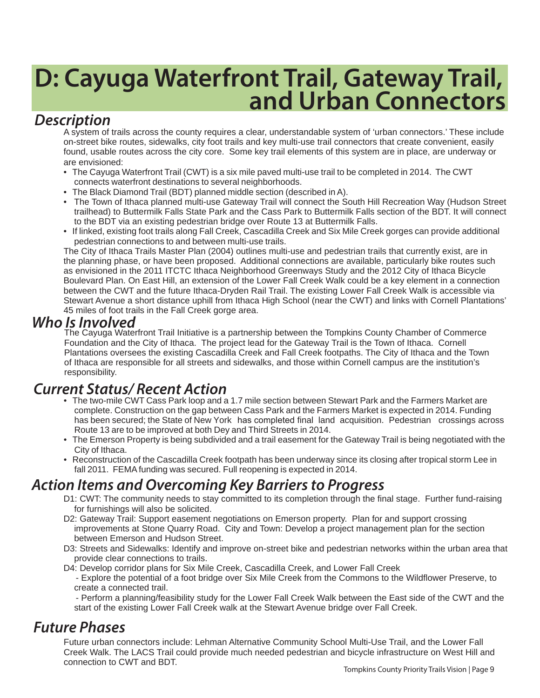# **D: Cayuga Waterfront Trail, Gateway Trail, and Urban Connectors**

#### *Description*

A system of trails across the county requires a clear, understandable system of 'urban connectors.' These include on-street bike routes, sidewalks, city foot trails and key multi-use trail connectors that create convenient, easily found, usable routes across the city core. Some key trail elements of this system are in place, are underway or are envisioned:

- The Cayuga Waterfront Trail (CWT) is a six mile paved multi-use trail to be completed in 2014. The CWT connects waterfront destinations to several neighborhoods.
- The Black Diamond Trail (BDT) planned middle section (described in A).
- The Town of Ithaca planned multi-use Gateway Trail will connect the South Hill Recreation Way (Hudson Street trailhead) to Buttermilk Falls State Park and the Cass Park to Buttermilk Falls section of the BDT. It will connect to the BDT via an existing pedestrian bridge over Route 13 at Buttermilk Falls.
- If linked, existing foot trails along Fall Creek, Cascadilla Creek and Six Mile Creek gorges can provide additional pedestrian connections to and between multi-use trails.

The City of Ithaca Trails Master Plan (2004) outlines multi-use and pedestrian trails that currently exist, are in the planning phase, or have been proposed. Additional connections are available, particularly bike routes such as envisioned in the 2011 ITCTC Ithaca Neighborhood Greenways Study and the 2012 City of Ithaca Bicycle Boulevard Plan. On East Hill, an extension of the Lower Fall Creek Walk could be a key element in a connection between the CWT and the future Ithaca-Dryden Rail Trail. The existing Lower Fall Creek Walk is accessible via Stewart Avenue a short distance uphill from Ithaca High School (near the CWT) and links with Cornell Plantations' 45 miles of foot trails in the Fall Creek gorge area.

#### *Who Is Involved*

The Cayuga Waterfront Trail Initiative is a partnership between the Tompkins County Chamber of Commerce Foundation and the City of Ithaca. The project lead for the Gateway Trail is the Town of Ithaca. Cornell Plantations oversees the existing Cascadilla Creek and Fall Creek footpaths. The City of Ithaca and the Town of Ithaca are responsible for all streets and sidewalks, and those within Cornell campus are the institution's responsibility.

#### *Current Status/ Recent Action*

- The two-mile CWT Cass Park loop and a 1.7 mile section between Stewart Park and the Farmers Market are complete. Construction on the gap between Cass Park and the Farmers Market is expected in 2014. Funding has been secured; the State of New York has completed final land acquisition. Pedestrian crossings across Route 13 are to be improved at both Dey and Third Streets in 2014.
- The Emerson Property is being subdivided and a trail easement for the Gateway Trail is being negotiated with the City of Ithaca.
- Reconstruction of the Cascadilla Creek footpath has been underway since its closing after tropical storm Lee in fall 2011. FEMA funding was secured. Full reopening is expected in 2014.

#### *Action Items and Overcoming Key Barriers to Progress*

- D1: CWT: The community needs to stay committed to its completion through the final stage. Further fund-raising for furnishings will also be solicited.
- D2: Gateway Trail: Support easement negotiations on Emerson property. Plan for and support crossing improvements at Stone Quarry Road. City and Town: Develop a project management plan for the section between Emerson and Hudson Street.
- D3: Streets and Sidewalks: Identify and improve on-street bike and pedestrian networks within the urban area that provide clear connections to trails.

D4: Develop corridor plans for Six Mile Creek, Cascadilla Creek, and Lower Fall Creek

- Explore the potential of a foot bridge over Six Mile Creek from the Commons to the Wildflower Preserve, to create a connected trail.

 - Perform a planning/feasibility study for the Lower Fall Creek Walk between the East side of the CWT and the start of the existing Lower Fall Creek walk at the Stewart Avenue bridge over Fall Creek.

#### *Future Phases*

Future urban connectors include: Lehman Alternative Community School Multi-Use Trail, and the Lower Fall Creek Walk. The LACS Trail could provide much needed pedestrian and bicycle infrastructure on West Hill and connection to CWT and BDT.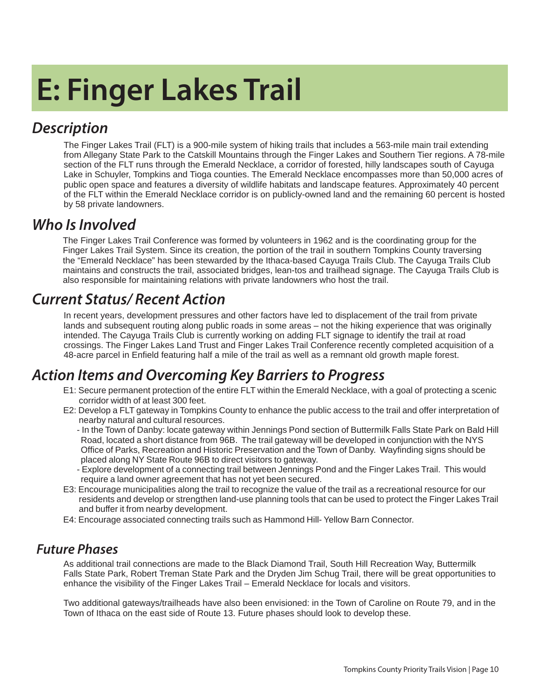## **E: Finger Lakes Trail**

#### *Description*

The Finger Lakes Trail (FLT) is a 900-mile system of hiking trails that includes a 563-mile main trail extending from Allegany State Park to the Catskill Mountains through the Finger Lakes and Southern Tier regions. A 78-mile section of the FLT runs through the Emerald Necklace, a corridor of forested, hilly landscapes south of Cayuga Lake in Schuyler, Tompkins and Tioga counties. The Emerald Necklace encompasses more than 50,000 acres of public open space and features a diversity of wildlife habitats and landscape features. Approximately 40 percent of the FLT within the Emerald Necklace corridor is on publicly-owned land and the remaining 60 percent is hosted by 58 private landowners.

#### *Who Is Involved*

The Finger Lakes Trail Conference was formed by volunteers in 1962 and is the coordinating group for the Finger Lakes Trail System. Since its creation, the portion of the trail in southern Tompkins County traversing the "Emerald Necklace" has been stewarded by the Ithaca-based Cayuga Trails Club. The Cayuga Trails Club maintains and constructs the trail, associated bridges, lean-tos and trailhead signage. The Cayuga Trails Club is also responsible for maintaining relations with private landowners who host the trail.

#### *Current Status/ Recent Action*

In recent years, development pressures and other factors have led to displacement of the trail from private lands and subsequent routing along public roads in some areas – not the hiking experience that was originally intended. The Cayuga Trails Club is currently working on adding FLT signage to identify the trail at road crossings. The Finger Lakes Land Trust and Finger Lakes Trail Conference recently completed acquisition of a 48-acre parcel in Enfield featuring half a mile of the trail as well as a remnant old growth maple forest.

#### *Action Items and Overcoming Key Barriers to Progress*

- E1: Secure permanent protection of the entire FLT within the Emerald Necklace, with a goal of protecting a scenic corridor width of at least 300 feet.
- E2: Develop a FLT gateway in Tompkins County to enhance the public access to the trail and offer interpretation of nearby natural and cultural resources.
	- In the Town of Danby: locate gateway within Jennings Pond section of Buttermilk Falls State Park on Bald Hill Road, located a short distance from 96B. The trail gateway will be developed in conjunction with the NYS Office of Parks, Recreation and Historic Preservation and the Town of Danby. Wayfinding signs should be placed along NY State Route 96B to direct visitors to gateway.
	- Explore development of a connecting trail between Jennings Pond and the Finger Lakes Trail. This would require a land owner agreement that has not yet been secured.
- E3: Encourage municipalities along the trail to recognize the value of the trail as a recreational resource for our residents and develop or strengthen land-use planning tools that can be used to protect the Finger Lakes Trail and buffer it from nearby development.
- E4: Encourage associated connecting trails such as Hammond Hill- Yellow Barn Connector.

#### *Future Phases*

As additional trail connections are made to the Black Diamond Trail, South Hill Recreation Way, Buttermilk Falls State Park, Robert Treman State Park and the Dryden Jim Schug Trail, there will be great opportunities to enhance the visibility of the Finger Lakes Trail – Emerald Necklace for locals and visitors.

Two additional gateways/trailheads have also been envisioned: in the Town of Caroline on Route 79, and in the Town of Ithaca on the east side of Route 13. Future phases should look to develop these.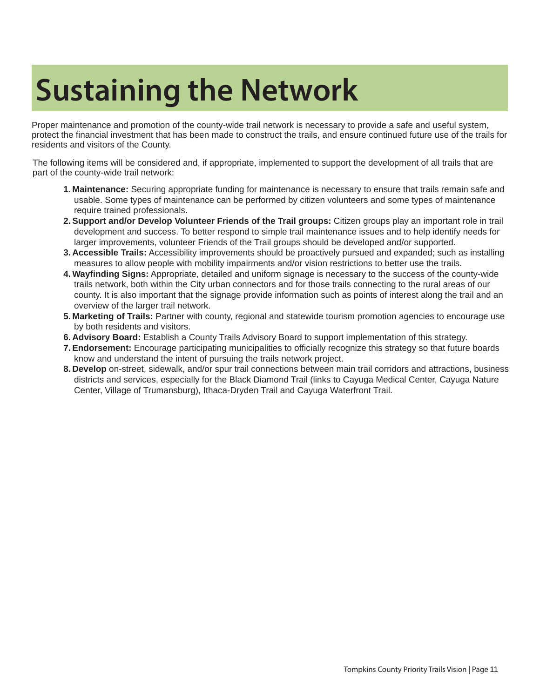### **Sustaining the Network**

Proper maintenance and promotion of the county-wide trail network is necessary to provide a safe and useful system, protect the financial investment that has been made to construct the trails, and ensure continued future use of the trails for residents and visitors of the County.

The following items will be considered and, if appropriate, implemented to support the development of all trails that are part of the county-wide trail network:

- **1. Maintenance:** Securing appropriate funding for maintenance is necessary to ensure that trails remain safe and usable. Some types of maintenance can be performed by citizen volunteers and some types of maintenance require trained professionals.
- **2. Support and/or Develop Volunteer Friends of the Trail groups:** Citizen groups play an important role in trail development and success. To better respond to simple trail maintenance issues and to help identify needs for larger improvements, volunteer Friends of the Trail groups should be developed and/or supported.
- **3. Accessible Trails:** Accessibility improvements should be proactively pursued and expanded; such as installing measures to allow people with mobility impairments and/or vision restrictions to better use the trails.
- **4. Wayfi nding Signs:** Appropriate, detailed and uniform signage is necessary to the success of the county-wide trails network, both within the City urban connectors and for those trails connecting to the rural areas of our county. It is also important that the signage provide information such as points of interest along the trail and an overview of the larger trail network.
- **5. Marketing of Trails:** Partner with county, regional and statewide tourism promotion agencies to encourage use by both residents and visitors.
- **6. Advisory Board:** Establish a County Trails Advisory Board to support implementation of this strategy.
- **7. Endorsement:** Encourage participating municipalities to officially recognize this strategy so that future boards know and understand the intent of pursuing the trails network project.
- **8. Develop** on-street, sidewalk, and/or spur trail connections between main trail corridors and attractions, business districts and services, especially for the Black Diamond Trail (links to Cayuga Medical Center, Cayuga Nature Center, Village of Trumansburg), Ithaca-Dryden Trail and Cayuga Waterfront Trail.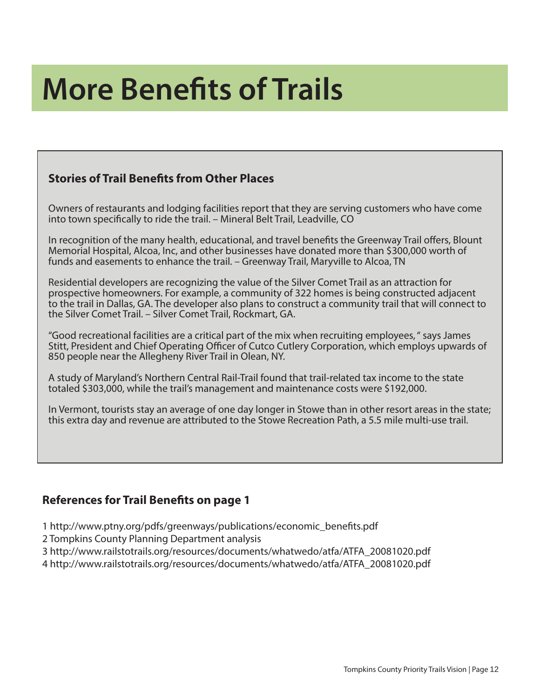### **More Benefits of Trails**

#### **Stories of Trail Benefits from Other Places**

Owners of restaurants and lodging facilities report that they are serving customers who have come into town specifically to ride the trail. – Mineral Belt Trail, Leadville, CO

In recognition of the many health, educational, and travel benefits the Greenway Trail offers, Blount Memorial Hospital, Alcoa, Inc, and other businesses have donated more than \$300,000 worth of funds and easements to enhance the trail. – Greenway Trail, Maryville to Alcoa, TN

Residential developers are recognizing the value of the Silver Comet Trail as an attraction for prospective homeowners. For example, a community of 322 homes is being constructed adjacent to the trail in Dallas, GA. The developer also plans to construct a community trail that will connect to the Silver Comet Trail. – Silver Comet Trail, Rockmart, GA.

"Good recreational facilities are a critical part of the mix when recruiting employees, " says James Stitt, President and Chief Operating Officer of Cutco Cutlery Corporation, which employs upwards of 850 people near the Allegheny River Trail in Olean, NY.

A study of Maryland's Northern Central Rail-Trail found that trail-related tax income to the state totaled \$303,000, while the trail's management and maintenance costs were \$192,000.

In Vermont, tourists stay an average of one day longer in Stowe than in other resort areas in the state; this extra day and revenue are attributed to the Stowe Recreation Path, a 5.5 mile multi-use trail.

#### **References for Trail Benefits on page 1**

1 http://www.ptny.org/pdfs/greenways/publications/economic\_benefi ts.pdf

2 Tompkins County Planning Department analysis

3 http://www.railstotrails.org/resources/documents/whatwedo/atfa/ATFA\_20081020.pdf

4 http://www.railstotrails.org/resources/documents/whatwedo/atfa/ATFA\_20081020.pdf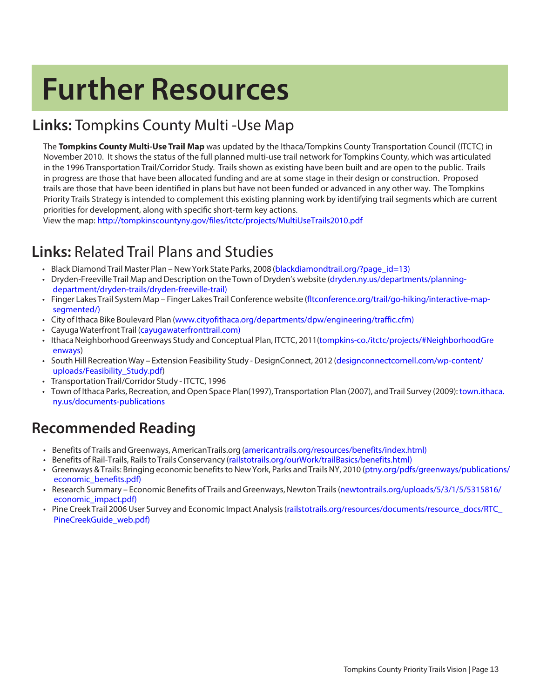### **Further Resources**

#### **Links:** Tompkins County Multi -Use Map

The **Tompkins County Multi-Use Trail Map** was updated by the Ithaca/Tompkins County Transportation Council (ITCTC) in November 2010. It shows the status of the full planned multi-use trail network for Tompkins County, which was articulated in the 1996 Transportation Trail/Corridor Study. Trails shown as existing have been built and are open to the public. Trails in progress are those that have been allocated funding and are at some stage in their design or construction. Proposed trails are those that have been identified in plans but have not been funded or advanced in any other way. The Tompkins Priority Trails Strategy is intended to complement this existing planning work by identifying trail segments which are current priorities for development, along with specific short-term key actions.

View the map: http:[//tompkinscountyny.gov/fi les/itctc/projects/MultiUseTrails2010.pdf](http://tompkinscountyny.gov/files/itctc/projects/MultiUseTrails2010.pdf)

#### **Links:** Related Trail Plans and Studies

- Black Diamond Trail Master Plan New York State Parks, 2008 [\(blackdiamondtrail.org/?page\\_id=13\)](http://blackdiamondtrail.org/?page_id=13)
- [Dryden-Freeville Trail Map and Description on the Town of Dryden's website \( dryden.ny.us/departments/planning](http://dryden.ny.us/departments/planning-department/dryden-trails/dryden-freeville-trail)department/dryden-trails/dryden-freeville-trail)
- [Finger Lakes Trail System Map Finger Lakes Trail Conference website \( fl tconference.org/trail/go-hiking/interactive-map](http://fltconference.org/trail/go-hiking/interactive-map-segmented/)segmented/)
- City of Ithaca Bike Boulevard Plan (www.cityofithaca.org/departments/dpw/engineering/traffic.cfm)
- Cayuga Waterfront Trail (cayugawaterfronttrail.com)
- [Ithaca Neighborhood Greenways Study and Conceptual Plan, ITCTC, 2011\(tompkins-co./itctc/projects/#NeighborhoodGre](http://www.tompkinscountyny.gov/files/itctc/projects/Ithaca%20Neighborhood%20Greenways/ING%20-%20Full%20Report%20with%20Appendices%20and%20Maps%5B1%5D.pdf) enways)
- [South Hill Recreation Way Extension Feasibility Study DesignConnect, 2012 \(designconnectcornell.com/wp-content/](http://designconnectcornell.com/wp-content/uploads/Feasibility_Study.pdf) uploads/Feasibility\_Study.pdf)
- [Transportation Trail/Corridor Study ITCTC, 1996](http://www.tompkinscountyny.gov/itctc/projects/#trailcorridorstudy)
- [Town of Ithaca Parks, Recreation, and Open Space Plan\(1997\),](http://www.town.ithaca.ny.us/documents-publications) Transportation Plan (2007), and Trail Survey (2009): town.ithaca. ny.us/documents-publications

#### **Recommended Reading**

- Benefits of Trails and Greenways, AmericanTrails.org (americantrails.org/resources/benefits/index.html)
- Benefits of Rail-Trails, Rails to Trails Conservancy (railstotrails.org/ourWork/trailBasics/benefits.html)
- [Greenways & Trails: Bringing economic benefits to New York, Parks and Trails NY, 2010 \( ptny.org/pdfs/greenways/publications/](www.ptny.org/pdfs/greenways/publications/economic_benefits.pdf) economic\_benefits.pdf)
- Research Summary Economic Benefits of [Trails and Greenways, Newton Trails \(newtontrails.org/uploads/5/3/1/5/5315816/](www.newtontrails.org/uploads/5/3/1/5/5315816/economic_impact.pdf) economic\_impact.pdf)
- [Pine Creek Trail 2006 User Survey and Economic Impact Analysis \(railstotrails.org/resources/documents/resource\\_docs/RTC\\_](www.railstotrails.org/resources/documents/resource_docs/RTC_PineCreekGuide_web.pdf) PineCreekGuide\_web.pdf)